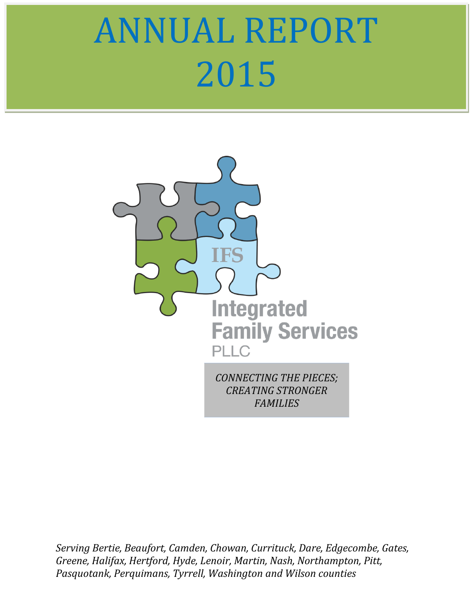# ANNUAL REPORT 2015



*Serving Bertie, Beaufort, Camden, Chowan, Currituck, Dare, Edgecombe, Gates, Greene, Halifax, Hertford, Hyde, Lenoir, Martin, Nash, Northampton, Pitt, Pasquotank, Perquimans, Tyrrell, Washington and Wilson counties*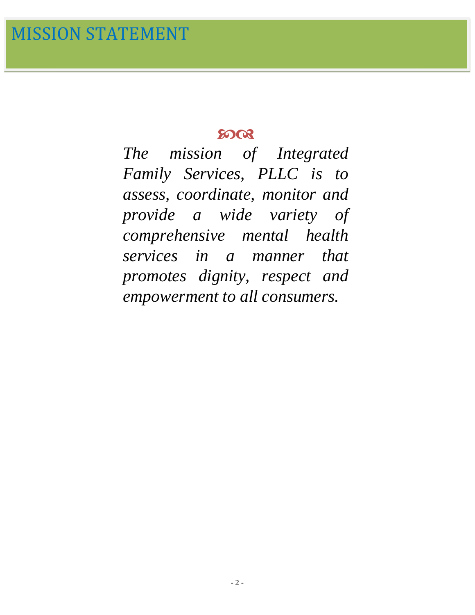# 5008

*The mission of Integrated Family Services, PLLC is to assess, coordinate, monitor and provide a wide variety of comprehensive mental health services in a manner that promotes dignity, respect and empowerment to all consumers.*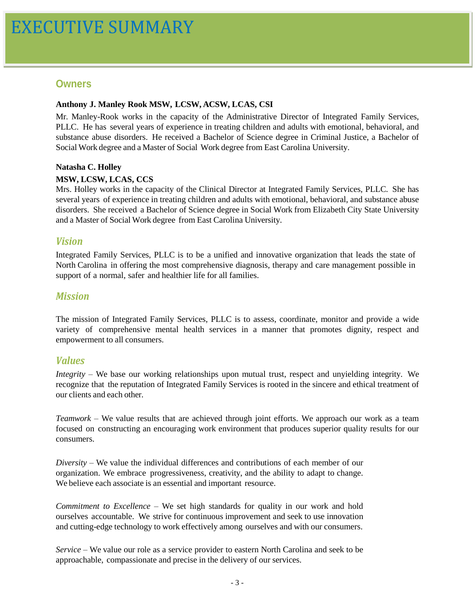#### **Owners**

#### **Anthony J. Manley Rook MSW, LCSW, ACSW, LCAS, CSI**

Mr. Manley-Rook works in the capacity of the Administrative Director of Integrated Family Services, PLLC. He has several years of experience in treating children and adults with emotional, behavioral, and substance abuse disorders. He received a Bachelor of Science degree in Criminal Justice, a Bachelor of Social Work degree and a Master of Social Work degree from East Carolina University.

#### **Natasha C. Holley**

#### **MSW, LCSW, LCAS, CCS**

Mrs. Holley works in the capacity of the Clinical Director at Integrated Family Services, PLLC. She has several years of experience in treating children and adults with emotional, behavioral, and substance abuse disorders. She received a Bachelor of Science degree in Social Work from Elizabeth City State University and a Master of Social Work degree from East Carolina University.

#### *Vision*

Integrated Family Services, PLLC is to be a unified and innovative organization that leads the state of North Carolina in offering the most comprehensive diagnosis, therapy and care management possible in support of a normal, safer and healthier life for all families.

#### *Mission*

The mission of Integrated Family Services, PLLC is to assess, coordinate, monitor and provide a wide variety of comprehensive mental health services in a manner that promotes dignity, respect and empowerment to all consumers.

#### *Values*

*Integrity* – We base our working relationships upon mutual trust, respect and unyielding integrity. We recognize that the reputation of Integrated Family Services is rooted in the sincere and ethical treatment of our clients and each other.

*Teamwork* – We value results that are achieved through joint efforts. We approach our work as a team focused on constructing an encouraging work environment that produces superior quality results for our consumers.

*Diversity* – We value the individual differences and contributions of each member of our organization. We embrace progressiveness, creativity, and the ability to adapt to change. We believe each associate is an essential and important resource.

*Commitment to Excellence* – We set high standards for quality in our work and hold ourselves accountable. We strive for continuous improvement and seek to use innovation and cutting-edge technology to work effectively among ourselves and with our consumers.

*Service* – We value our role as a service provider to eastern North Carolina and seek to be approachable, compassionate and precise in the delivery of our services.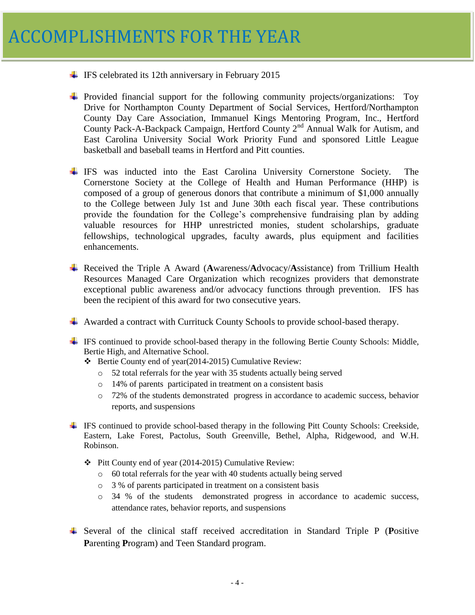- $\div$  IFS celebrated its 12th anniversary in February 2015
- Provided financial support for the following community projects/organizations: Toy Drive for Northampton County Department of Social Services, Hertford/Northampton County Day Care Association, Immanuel Kings Mentoring Program, Inc., Hertford County Pack-A-Backpack Campaign, Hertford County  $2<sup>nd</sup>$  Annual Walk for Autism, and East Carolina University Social Work Priority Fund and sponsored Little League basketball and baseball teams in Hertford and Pitt counties.
- IFS was inducted into the East Carolina University Cornerstone Society. The Cornerstone Society at the College of Health and Human Performance (HHP) is composed of a group of generous donors that contribute a minimum of \$1,000 annually to the College between July 1st and June 30th each fiscal year. These contributions provide the foundation for the College's comprehensive fundraising plan by adding valuable resources for HHP unrestricted monies, student scholarships, graduate fellowships, technological upgrades, faculty awards, plus equipment and facilities enhancements.
- Received the Triple A Award (**A**wareness/**A**dvocacy/**A**ssistance) from Trillium Health Resources Managed Care Organization which recognizes providers that demonstrate exceptional public awareness and/or advocacy functions through prevention. IFS has been the recipient of this award for two consecutive years.
- Awarded a contract with Currituck County Schools to provide school-based therapy.
- IFS continued to provide school-based therapy in the following Bertie County Schools: Middle, Bertie High, and Alternative School.
	- Bertie County end of year(2014-2015) Cumulative Review:
		- o 52 total referrals for the year with 35 students actually being served
		- o 14% of parents participated in treatment on a consistent basis
		- o 72% of the students demonstrated progress in accordance to academic success, behavior reports, and suspensions
- $\pm$  IFS continued to provide school-based therapy in the following Pitt County Schools: Creekside, Eastern, Lake Forest, Pactolus, South Greenville, Bethel, Alpha, Ridgewood, and W.H. Robinson.
	- Pitt County end of year (2014-2015) Cumulative Review:
		- o 60 total referrals for the year with 40 students actually being served
		- o 3 % of parents participated in treatment on a consistent basis
		- o 34 % of the students demonstrated progress in accordance to academic success, attendance rates, behavior reports, and suspensions
- Several of the clinical staff received accreditation in Standard Triple P (**P**ositive **P**arenting **P**rogram) and Teen Standard program.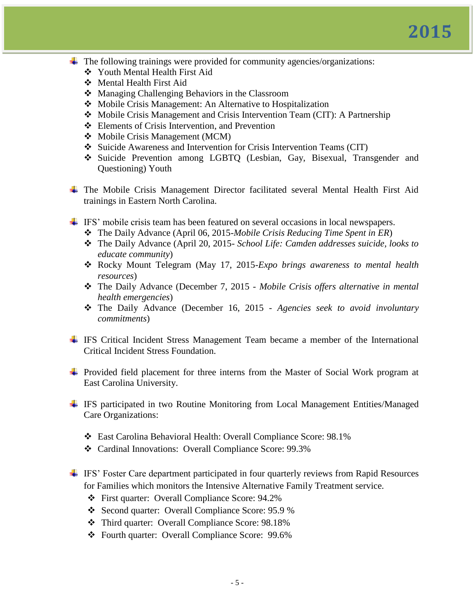- The following trainings were provided for community agencies/organizations:
	- Youth Mental Health First Aid
	- Mental Health First Aid
	- ❖ Managing Challenging Behaviors in the Classroom
	- ◆ Mobile Crisis Management: An Alternative to Hospitalization
	- Mobile Crisis Management and Crisis Intervention Team (CIT): A Partnership
	- Elements of Crisis Intervention, and Prevention
	- Mobile Crisis Management (MCM)
	- Suicide Awareness and Intervention for Crisis Intervention Teams (CIT)
	- Suicide Prevention among LGBTQ (Lesbian, Gay, Bisexual, Transgender and Questioning) Youth
- The Mobile Crisis Management Director facilitated several Mental Health First Aid trainings in Eastern North Carolina.
- IFS' mobile crisis team has been featured on several occasions in local newspapers.
	- The Daily Advance (April 06, 2015-*Mobile Crisis Reducing Time Spent in ER*)
	- The Daily Advance (April 20, 2015- *School Life: Camden addresses suicide, looks to educate community*)
	- Rocky Mount Telegram (May 17, 2015-*Expo brings awareness to mental health resources*)
	- The Daily Advance (December 7, 2015 *Mobile Crisis offers alternative in mental health emergencies*)
	- The Daily Advance (December 16, 2015 *Agencies seek to avoid involuntary commitments*)
- IFS Critical Incident Stress Management Team became a member of the International Critical Incident Stress Foundation.
- $\overline{\text{4}}$  Provided field placement for three interns from the Master of Social Work program at East Carolina University.
- IFS participated in two Routine Monitoring from Local Management Entities/Managed Care Organizations:
	- East Carolina Behavioral Health: Overall Compliance Score: 98.1%
	- Cardinal Innovations: Overall Compliance Score: 99.3%
- IFS' Foster Care department participated in four quarterly reviews from Rapid Resources for Families which monitors the Intensive Alternative Family Treatment service.
	- First quarter: Overall Compliance Score: 94.2%
	- Second quarter: Overall Compliance Score: 95.9 %
	- Third quarter: Overall Compliance Score: 98.18%
	- Fourth quarter: Overall Compliance Score: 99.6%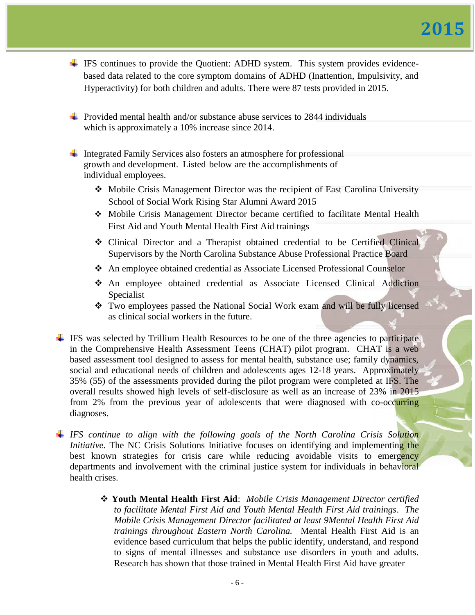- $\overline{\phantom{a}}$  IFS continues to provide the Quotient: ADHD system. This system provides evidencebased data related to the core symptom domains of ADHD (Inattention, Impulsivity, and Hyperactivity) for both children and adults. There were 87 tests provided in 2015.
- **Provided mental health and/or substance abuse services to 2844 individuals** which is approximately a 10% increase since 2014.
- $\ddot{\phantom{1}}$  Integrated Family Services also fosters an atmosphere for professional growth and development. Listed below are the accomplishments of individual employees.
	- Mobile Crisis Management Director was the recipient of East Carolina University School of Social Work Rising Star Alumni Award 2015
	- Mobile Crisis Management Director became certified to facilitate Mental Health First Aid and Youth Mental Health First Aid trainings
	- Clinical Director and a Therapist obtained credential to be Certified Clinical Supervisors by the North Carolina Substance Abuse Professional Practice Board
	- An employee obtained credential as Associate Licensed Professional Counselor
	- An employee obtained credential as Associate Licensed Clinical Addiction Specialist
	- Two employees passed the National Social Work exam and will be fully licensed as clinical social workers in the future.
- $\pm$  IFS was selected by Trillium Health Resources to be one of the three agencies to participate in the Comprehensive Health Assessment Teens (CHAT) pilot program. CHAT is a web based assessment tool designed to assess for mental health, substance use; family dynamics, social and educational needs of children and adolescents ages 12-18 years. Approximately 35% (55) of the assessments provided during the pilot program were completed at IFS. The overall results showed high levels of self-disclosure as well as an increase of 23% in 2015 from 2% from the previous year of adolescents that were diagnosed with co-occurring diagnoses.
- *IFS continue to align with the following goals of the North Carolina Crisis Solution Initiative*. The NC Crisis Solutions Initiative focuses on identifying and implementing the best known strategies for crisis care while reducing avoidable visits to emergency departments and involvement with the criminal justice system for individuals in behavioral health crises.
	- **Youth Mental Health First Aid**: *Mobile Crisis Management Director certified to facilitate Mental First Aid and Youth Mental Health First Aid trainings*. *The Mobile Crisis Management Director facilitated at least 9Mental Health First Aid trainings throughout Eastern North Carolina.* Mental Health First Aid is an evidence based curriculum that helps the public identify, understand, and respond to signs of mental illnesses and substance use disorders in youth and adults. Research has shown that those trained in Mental Health First Aid have greater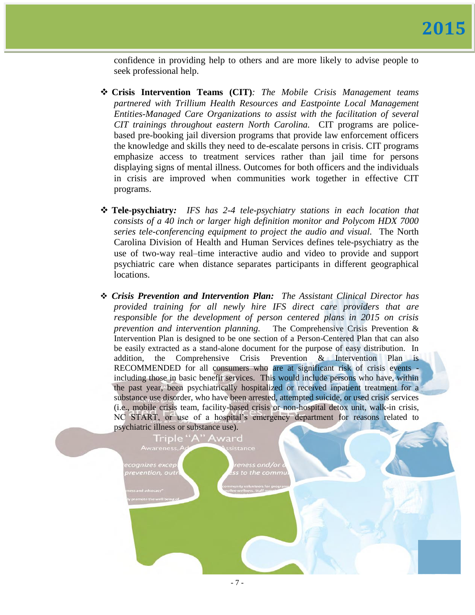confidence in providing help to others and are more likely to advise people to seek professional help.

- **Crisis Intervention Teams (CIT)***: The Mobile Crisis Management teams partnered with Trillium Health Resources and Eastpointe Local Management Entities-Managed Care Organizations to assist with the facilitation of several CIT trainings throughout eastern North Carolina.* CIT programs are policebased pre-booking jail diversion programs that provide law enforcement officers the knowledge and skills they need to de-escalate persons in crisis. CIT programs emphasize access to treatment services rather than jail time for persons displaying signs of mental illness. Outcomes for both officers and the individuals in crisis are improved when communities work together in effective CIT programs.
- **Tele-psychiatry***: IFS has 2-4 tele-psychiatry stations in each location that consists of a 40 inch or larger high definition monitor and Polycom HDX 7000 series tele-conferencing equipment to project the audio and visual.* The North Carolina Division of Health and Human Services defines tele-psychiatry as the use of two-way real–time interactive audio and video to provide and support psychiatric care when distance separates participants in different geographical locations.
- *Crisis Prevention and Intervention Plan: The Assistant Clinical Director has provided training for all newly hire IFS direct care providers that are responsible for the development of person centered plans in 2015 on crisis prevention and intervention planning.* The Comprehensive Crisis Prevention & Intervention Plan is designed to be one section of a Person-Centered Plan that can also be easily extracted as a stand-alone document for the purpose of easy distribution. In addition, the Comprehensive Crisis Prevention & Intervention Plan is RECOMMENDED for all consumers who are at significant risk of crisis events including those in basic benefit services. This would include persons who have, within the past year, been psychiatrically hospitalized or received inpatient treatment for a substance use disorder, who have been arrested, attempted suicide, or used crisis services (i.e., mobile crisis team, facility-based crisis or non-hospital detox unit, walk-in crisis, NC START, or use of a hospital's emergency department for reasons related to psychiatric illness or substance use).

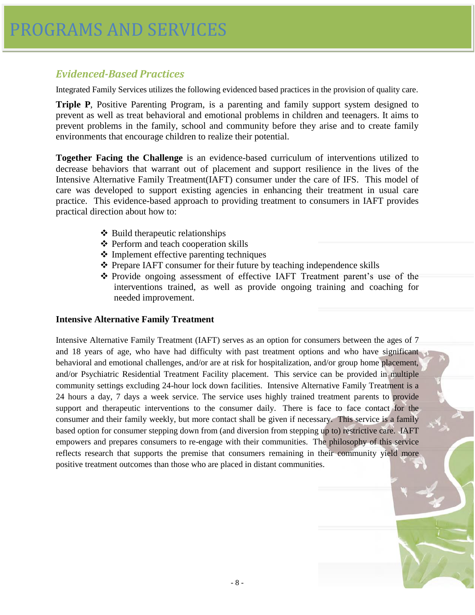# *Evidenced-Based Practices*

Integrated Family Services utilizes the following evidenced based practices in the provision of quality care.

**Triple P**, Positive Parenting Program, is a parenting and family support system designed to prevent as well as treat behavioral and emotional problems in children and teenagers. It aims to prevent problems in the family, school and community before they arise and to create family environments that encourage children to realize their potential.

**Together Facing the Challenge** is an evidence-based curriculum of interventions utilized to decrease behaviors that warrant out of placement and support resilience in the lives of the Intensive Alternative Family Treatment(IAFT) consumer under the care of IFS. This model of care was developed to support existing agencies in enhancing their treatment in usual care practice. This evidence-based approach to providing treatment to consumers in IAFT provides practical direction about how to:

- $\triangle$  Build therapeutic relationships
- ❖ Perform and teach cooperation skills
- $\triangle$  Implement effective parenting techniques
- Prepare IAFT consumer for their future by teaching independence skills
- $\div$  Provide ongoing assessment of effective IAFT Treatment parent's use of the interventions trained, as well as provide ongoing training and coaching for needed improvement.

#### **Intensive Alternative Family Treatment**

Intensive Alternative Family Treatment (IAFT) serves as an option for consumers between the ages of 7 and 18 years of age, who have had difficulty with past treatment options and who have significant behavioral and emotional challenges, and/or are at risk for hospitalization, and/or group home placement, and/or Psychiatric Residential Treatment Facility placement. This service can be provided in multiple community settings excluding 24-hour lock down facilities. Intensive Alternative Family Treatment is a 24 hours a day, 7 days a week service. The service uses highly trained treatment parents to provide support and therapeutic interventions to the consumer daily. There is face to face contact for the consumer and their family weekly, but more contact shall be given if necessary. This service is a family based option for consumer stepping down from (and diversion from stepping up to) restrictive care. IAFT empowers and prepares consumers to re-engage with their communities. The philosophy of this service reflects research that supports the premise that consumers remaining in their community yield more positive treatment outcomes than those who are placed in distant communities.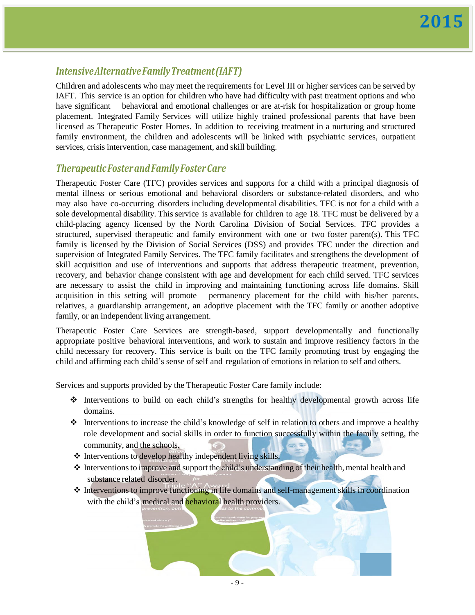# *IntensiveAlternativeFamilyTreatment(IAFT)*

Children and adolescents who may meet the requirements for Level III or higher services can be served by IAFT. This service is an option for children who have had difficulty with past treatment options and who have significant behavioral and emotional challenges or are at-risk for hospitalization or group home placement. Integrated Family Services will utilize highly trained professional parents that have been licensed as Therapeutic Foster Homes. In addition to receiving treatment in a nurturing and structured family environment, the children and adolescents will be linked with psychiatric services, outpatient services, crisis intervention, case management, and skill building.

## *TherapeuticFosterandFamilyFosterCare*

Therapeutic Foster Care (TFC) provides services and supports for a child with a principal diagnosis of mental illness or serious emotional and behavioral disorders or substance-related disorders, and who may also have co-occurring disorders including developmental disabilities. TFC is not for a child with a sole developmental disability. This service is available for children to age 18. TFC must be delivered by a child-placing agency licensed by the North Carolina Division of Social Services. TFC provides a structured, supervised therapeutic and family environment with one or two foster parent(s). This TFC family is licensed by the Division of Social Services (DSS) and provides TFC under the direction and supervision of Integrated Family Services. The TFC family facilitates and strengthens the development of skill acquisition and use of interventions and supports that address therapeutic treatment, prevention, recovery, and behavior change consistent with age and development for each child served. TFC services are necessary to assist the child in improving and maintaining functioning across life domains. Skill acquisition in this setting will promote permanency placement for the child with his/her parents, relatives, a guardianship arrangement, an adoptive placement with the TFC family or another adoptive family, or an independent living arrangement.

Therapeutic Foster Care Services are strength-based, support developmentally and functionally appropriate positive behavioral interventions, and work to sustain and improve resiliency factors in the child necessary for recovery. This service is built on the TFC family promoting trust by engaging the child and affirming each child's sense of self and regulation of emotions in relation to self and others.

Services and supports provided by the Therapeutic Foster Care family include:

- $\div$  Interventions to build on each child's strengths for healthy developmental growth across life domains.
- Interventions to increase the child's knowledge of self in relation to others and improve a healthy role development and social skills in order to function successfully within the family setting, the community, and the schools.
- $\triangle$  Interventions to develop healthy independent living skills.
- $\triangleq$  Interventions to improve and support the child's understanding of their health, mental health and substance related disorder.
- $\triangle$  Interventions to improve functioning in life domains and self-management skills in coordination with the child's medical and **behavioral** health providers.

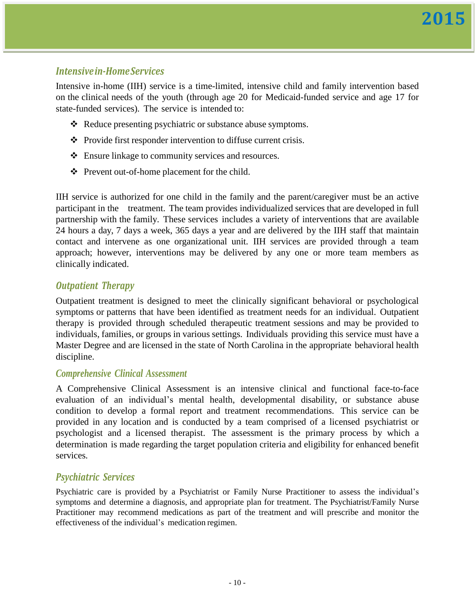## *Intensivein-HomeServices*

Intensive in-home (IIH) service is a time-limited, intensive child and family intervention based on the clinical needs of the youth (through age 20 for Medicaid-funded service and age 17 for state-funded services). The service is intended to:

- ❖ Reduce presenting psychiatric or substance abuse symptoms.
- Provide first responder intervention to diffuse current crisis.
- Ensure linkage to community services and resources.
- Prevent out-of-home placement for the child.

IIH service is authorized for one child in the family and the parent/caregiver must be an active participant in the treatment. The team provides individualized services that are developed in full partnership with the family. These services includes a variety of interventions that are available 24 hours a day, 7 days a week, 365 days a year and are delivered by the IIH staff that maintain contact and intervene as one organizational unit. IIH services are provided through a team approach; however, interventions may be delivered by any one or more team members as clinically indicated.

## *Outpatient Therapy*

Outpatient treatment is designed to meet the clinically significant behavioral or psychological symptoms or patterns that have been identified as treatment needs for an individual. Outpatient therapy is provided through scheduled therapeutic treatment sessions and may be provided to individuals, families, or groups in various settings. Individuals providing this service must have a Master Degree and are licensed in the state of North Carolina in the appropriate behavioral health discipline.

#### *Comprehensive Clinical Assessment*

A Comprehensive Clinical Assessment is an intensive clinical and functional face-to-face evaluation of an individual's mental health, developmental disability, or substance abuse condition to develop a formal report and treatment recommendations. This service can be provided in any location and is conducted by a team comprised of a licensed psychiatrist or psychologist and a licensed therapist. The assessment is the primary process by which a determination is made regarding the target population criteria and eligibility for enhanced benefit services.

## *Psychiatric Services*

Psychiatric care is provided by a Psychiatrist or Family Nurse Practitioner to assess the individual's symptoms and determine a diagnosis, and appropriate plan for treatment. The Psychiatrist/Family Nurse Practitioner may recommend medications as part of the treatment and will prescribe and monitor the effectiveness of the individual's medication regimen.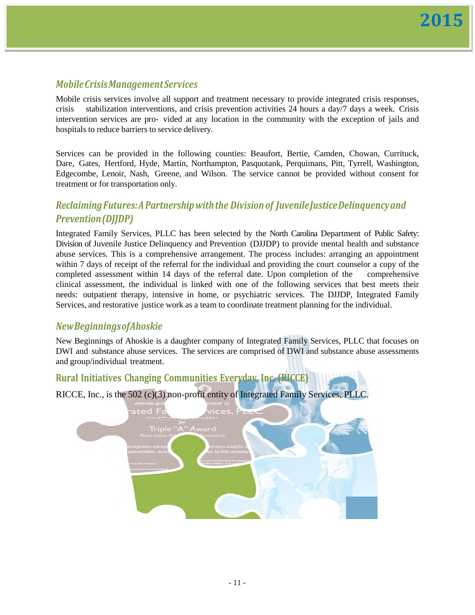# *MobileCrisisManagementServices*

Mobile crisis services involve all support and treatment necessary to provide integrated crisis responses, crisis stabilization interventions, and crisis prevention activities 24 hours a day/7 days a week. Crisis intervention services are pro- vided at any location in the community with the exception of jails and hospitals to reduce barriers to service delivery.

Services can be provided in the following counties: Beaufort, Bertie, Camden, Chowan, Currituck, Dare, Gates, Hertford, Hyde, Martin, Northampton, Pasquotank, Perquimans, Pitt, Tyrrell, Washington, Edgecombe, Lenoir, Nash, Greene, and Wilson. The service cannot be provided without consent for treatment or for transportation only.

# *ReclaimingFutures:APartnershipwiththe Divisionof JuvenileJusticeDelinquencyand Prevention(DJJDP)*

Integrated Family Services, PLLC has been selected by the North Carolina Department of Public Safety: Division of Juvenile Justice Delinquency and Prevention (DJJDP) to provide mental health and substance abuse services. This is a comprehensive arrangement. The process includes: arranging an appointment within 7 days of receipt of the referral for the individual and providing the court counselor a copy of the completed assessment within 14 days of the referral date. Upon completion of the comprehensive clinical assessment, the individual is linked with one of the following services that best meets their needs: outpatient therapy, intensive in home, or psychiatric services. The DJJDP, Integrated Family Services, and restorative justice work as a team to coordinate treatment planning for the individual.

## *NewBeginningsofAhoskie*

New Beginnings of Ahoskie is a daughter company of Integrated Family Services, PLLC that focuses on DWI and substance abuse services. The services are comprised of DWI and substance abuse assessments and group/individual treatment.

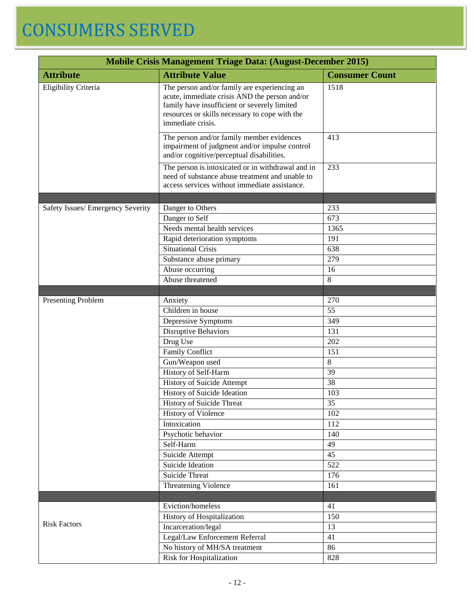# CONSUMERS SERVED

| <b>Mobile Crisis Management Triage Data: (August-December 2015)</b> |                                                                                                                                                                                                                      |                 |  |
|---------------------------------------------------------------------|----------------------------------------------------------------------------------------------------------------------------------------------------------------------------------------------------------------------|-----------------|--|
| <b>Attribute</b>                                                    | <b>Consumer Count</b>                                                                                                                                                                                                |                 |  |
| Eligibility Criteria                                                | The person and/or family are experiencing an<br>acute, immediate crisis AND the person and/or<br>family have insufficient or severely limited<br>resources or skills necessary to cope with the<br>immediate crisis. | 1518            |  |
|                                                                     | The person and/or family member evidences<br>impairment of judgment and/or impulse control<br>and/or cognitive/perceptual disabilities.                                                                              | 413             |  |
|                                                                     | The person is intoxicated or in withdrawal and in<br>need of substance abuse treatment and unable to<br>access services without immediate assistance.                                                                | 233             |  |
|                                                                     |                                                                                                                                                                                                                      |                 |  |
| Safety Issues/ Emergency Severity                                   | Danger to Others                                                                                                                                                                                                     | 233             |  |
|                                                                     | Danger to Self                                                                                                                                                                                                       | 673             |  |
|                                                                     | Needs mental health services                                                                                                                                                                                         | 1365            |  |
|                                                                     | Rapid deterioration symptoms                                                                                                                                                                                         | 191             |  |
|                                                                     | <b>Situational Crisis</b>                                                                                                                                                                                            | 638             |  |
|                                                                     | Substance abuse primary                                                                                                                                                                                              | 279             |  |
|                                                                     | Abuse occurring                                                                                                                                                                                                      | 16              |  |
|                                                                     | Abuse threatened                                                                                                                                                                                                     | 8               |  |
|                                                                     |                                                                                                                                                                                                                      |                 |  |
| <b>Presenting Problem</b>                                           | Anxiety                                                                                                                                                                                                              | 270             |  |
|                                                                     | Children in house                                                                                                                                                                                                    | 55              |  |
|                                                                     | Depressive Symptoms                                                                                                                                                                                                  | 349             |  |
|                                                                     | Disruptive Behaviors                                                                                                                                                                                                 | 131             |  |
|                                                                     | Drug Use                                                                                                                                                                                                             | 202             |  |
|                                                                     | <b>Family Conflict</b>                                                                                                                                                                                               | 151             |  |
|                                                                     | Gun/Weapon used                                                                                                                                                                                                      | $\overline{8}$  |  |
|                                                                     | History of Self-Harm                                                                                                                                                                                                 | 39              |  |
|                                                                     | <b>History of Suicide Attempt</b>                                                                                                                                                                                    | 38              |  |
|                                                                     | History of Suicide Ideation                                                                                                                                                                                          | 103             |  |
|                                                                     | History of Suicide Threat                                                                                                                                                                                            | 35<br>102       |  |
|                                                                     | History of Violence<br>Intoxication                                                                                                                                                                                  | 112             |  |
|                                                                     | Psychotic behavior                                                                                                                                                                                                   | 140             |  |
|                                                                     | Self-Harm                                                                                                                                                                                                            | 49              |  |
|                                                                     | Suicide Attempt                                                                                                                                                                                                      | $\overline{45}$ |  |
|                                                                     | Suicide Ideation                                                                                                                                                                                                     | 522             |  |
|                                                                     | <b>Suicide Threat</b>                                                                                                                                                                                                | 176             |  |
|                                                                     | Threatening Violence                                                                                                                                                                                                 | 161             |  |
|                                                                     |                                                                                                                                                                                                                      |                 |  |
|                                                                     | Eviction/homeless                                                                                                                                                                                                    | 41              |  |
|                                                                     | History of Hospitalization                                                                                                                                                                                           | 150             |  |
| <b>Risk Factors</b>                                                 | Incarceration/legal                                                                                                                                                                                                  | 13              |  |
|                                                                     | Legal/Law Enforcement Referral                                                                                                                                                                                       | 41              |  |
|                                                                     | No history of MH/SA treatment                                                                                                                                                                                        | 86              |  |
|                                                                     | Risk for Hospitalization                                                                                                                                                                                             | 828             |  |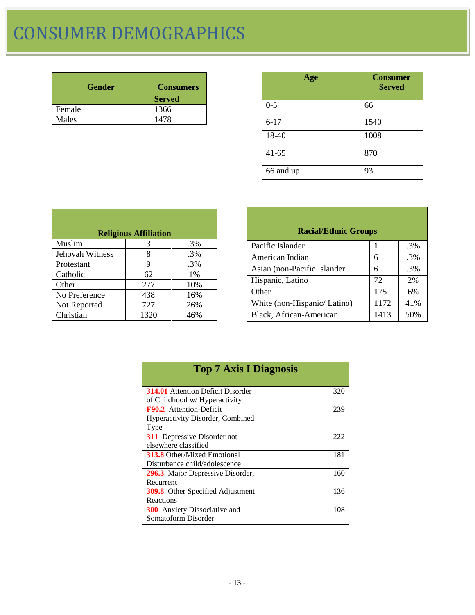# CONSUMER DEMOGRAPHICS

| <b>Gender</b> | <b>Consumers</b><br><b>Served</b> |
|---------------|-----------------------------------|
| Female        | 1366                              |
| Males         | 1478                              |

| Age       | <b>Consumer</b><br><b>Served</b> |
|-----------|----------------------------------|
| $0 - 5$   | 66                               |
| $6 - 17$  | 1540                             |
| 18-40     | 1008                             |
| $41 - 65$ | 870                              |
| 66 and up | 93                               |

|                 | <b>Religious Affiliation</b> |        |
|-----------------|------------------------------|--------|
| Muslim          | 3                            | .3%    |
| Jehovah Witness | 8                            | .3%    |
| Protestant      | 9                            | $.3\%$ |
| Catholic        | 62                           | 1%     |
| Other           | 277                          | 10%    |
| No Preference   | 438                          | 16%    |
| Not Reported    | 727                          | 26%    |
| Christian       | 1320                         | 46%    |

| <b>Racial/Ethnic Groups</b> |      |        |
|-----------------------------|------|--------|
| Pacific Islander            |      | $.3\%$ |
| American Indian             | 6    | .3%    |
| Asian (non-Pacific Islander | 6    | .3%    |
| Hispanic, Latino            | 72   | 2%     |
| Other                       | 175  | 6%     |
| White (non-Hispanic/Latino) | 1172 | 41%    |
| Black, African-American     | 1413 | 50%    |

| <b>Top 7 Axis I Diagnosis</b>            |     |
|------------------------------------------|-----|
| <b>314.01</b> Attention Deficit Disorder | 320 |
| of Childhood w/ Hyperactivity            |     |
| <b>F90.2</b> Attention-Deficit           | 239 |
| <b>Hyperactivity Disorder, Combined</b>  |     |
| Type                                     |     |
| <b>311</b> Depressive Disorder not       | 222 |
| elsewhere classified                     |     |
| <b>313.8</b> Other/Mixed Emotional       | 181 |
| Disturbance child/adolescence            |     |
| 296.3 Major Depressive Disorder,         | 160 |
| Recurrent                                |     |
| <b>309.8</b> Other Specified Adjustment  | 136 |
| Reactions                                |     |
| <b>300</b> Anxiety Dissociative and      | 108 |
| Somatoform Disorder                      |     |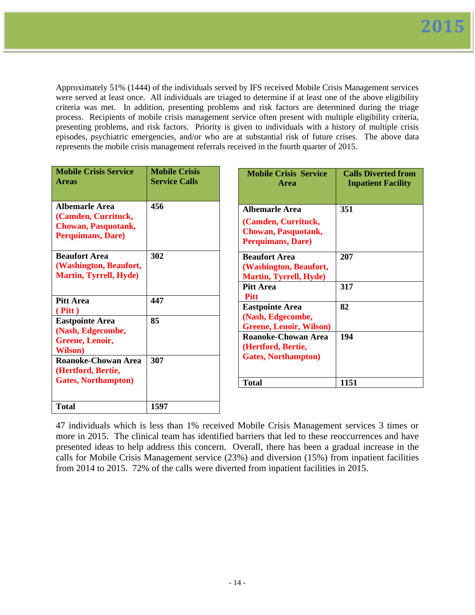Approximately 51% (1444) of the individuals served by IFS received Mobile Crisis Management services were served at least once. All individuals are triaged to determine if at least one of the above eligibility criteria was met. In addition, presenting problems and risk factors are determined during the triage process. Recipients of mobile crisis management service often present with multiple eligibility criteria, presenting problems, and risk factors. Priority is given to individuals with a history of multiple crisis episodes, psychiatric emergencies, and/or who are at substantial risk of future crises. The above data represents the mobile crisis management referrals received in the fourth quarter of 2015.

| <b>Mobile Crisis Service</b><br><b>Areas</b>                                                    | <b>Mobile Crisis</b><br><b>Service Calls</b> | <b>Mobile Crisis Service</b><br><b>Area</b>                                                     | <b>Calls Diverted from</b><br><b>Inpatient Facility</b> |
|-------------------------------------------------------------------------------------------------|----------------------------------------------|-------------------------------------------------------------------------------------------------|---------------------------------------------------------|
| Albemarle Area<br>(Camden, Currituck,<br><b>Chowan, Pasquotank,</b><br><b>Perquimans, Dare)</b> | 456                                          | <b>Albemarle Area</b><br>(Camden, Currituck,<br><b>Chowan, Pasquotank,</b><br>Perquimans, Dare) | 351                                                     |
| <b>Beaufort Area</b><br>(Washington, Beaufort,<br><b>Martin, Tyrrell, Hyde)</b>                 | 302                                          | <b>Beaufort Area</b><br>(Washington, Beaufort,<br><b>Martin, Tyrrell, Hyde)</b>                 | 207                                                     |
|                                                                                                 |                                              | <b>Pitt Area</b><br><b>Pitt</b>                                                                 | 317                                                     |
| <b>Pitt Area</b><br>$($ Pitt $)$                                                                | 447                                          | <b>Eastpointe Area</b>                                                                          | 82                                                      |
| <b>Eastpointe Area</b><br>(Nash, Edgecombe,                                                     | 85                                           | (Nash, Edgecombe,<br><b>Greene, Lenoir, Wilson)</b>                                             |                                                         |
| Greene, Lenoir,<br><b>Wilson</b> )                                                              |                                              | <b>Roanoke-Chowan Area</b><br>(Hertford, Bertie,                                                | 194                                                     |
| <b>Roanoke-Chowan Area</b><br>(Hertford, Bertie,                                                | 307                                          | <b>Gates, Northampton)</b>                                                                      |                                                         |
| <b>Gates, Northampton</b> )                                                                     |                                              | <b>Total</b>                                                                                    | 1151                                                    |
| <b>Total</b>                                                                                    | 1597                                         |                                                                                                 |                                                         |

47 individuals which is less than 1% received Mobile Crisis Management services 3 times or more in 2015. The clinical team has identified barriers that led to these reoccurrences and have presented ideas to help address this concern. Overall, there has been a gradual increase in the calls for Mobile Crisis Management service (23%) and diversion (15%) from inpatient facilities from 2014 to 2015. 72% of the calls were diverted from inpatient facilities in 2015.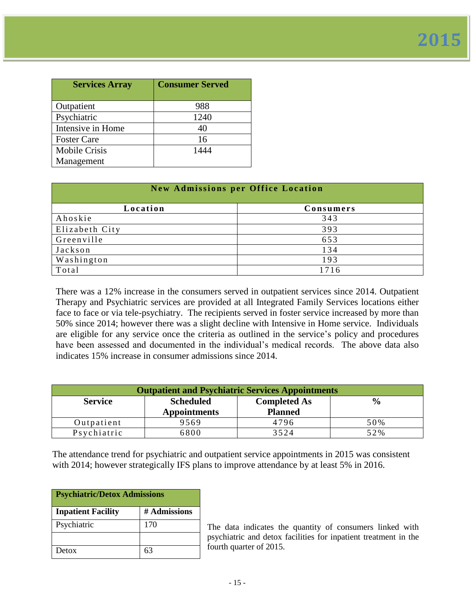| <b>Services Array</b> | <b>Consumer Served</b> |
|-----------------------|------------------------|
| Outpatient            | 988                    |
| Psychiatric           | 1240                   |
| Intensive in Home     | 40                     |
| <b>Foster Care</b>    | 16                     |
| <b>Mobile Crisis</b>  | 1444                   |
| Management            |                        |

| <b>New Admissions per Office Location</b> |      |
|-------------------------------------------|------|
| Location<br>Consumers                     |      |
| Ahoskie                                   | 343  |
| Elizabeth City                            | 393  |
| Greenville                                | 653  |
| Jackson                                   | 134  |
| Washington                                | 193  |
| Total                                     | 1716 |

There was a 12% increase in the consumers served in outpatient services since 2014. Outpatient Therapy and Psychiatric services are provided at all Integrated Family Services locations either face to face or via tele-psychiatry. The recipients served in foster service increased by more than 50% since 2014; however there was a slight decline with Intensive in Home service. Individuals are eligible for any service once the criteria as outlined in the service's policy and procedures have been assessed and documented in the individual's medical records. The above data also indicates 15% increase in consumer admissions since 2014.

| <b>Outpatient and Psychiatric Services Appointments</b> |                                         |                                       |               |
|---------------------------------------------------------|-----------------------------------------|---------------------------------------|---------------|
| <b>Service</b>                                          | <b>Scheduled</b><br><b>Appointments</b> | <b>Completed As</b><br><b>Planned</b> | $\frac{6}{9}$ |
| Outpatient                                              | 9569                                    | 4796                                  | 50%           |
| Psychiatric                                             | 5800                                    | 3524                                  | 52%           |

The attendance trend for psychiatric and outpatient service appointments in 2015 was consistent with 2014; however strategically IFS plans to improve attendance by at least 5% in 2016.

| <b>Psychiatric/Detox Admissions</b> |              |
|-------------------------------------|--------------|
| <b>Inpatient Facility</b>           | # Admissions |
| Psychiatric                         | 170          |
|                                     |              |
| Detox                               | 63           |

The data indicates the quantity of consumers linked with psychiatric and detox facilities for inpatient treatment in the fourth quarter of 2015.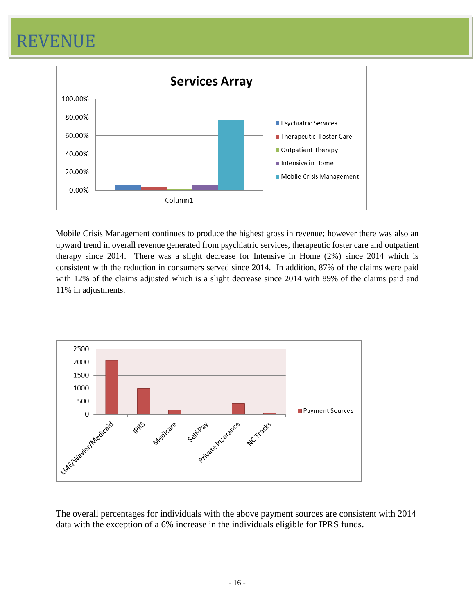# REVENUE



Mobile Crisis Management continues to produce the highest gross in revenue; however there was also an upward trend in overall revenue generated from psychiatric services, therapeutic foster care and outpatient therapy since 2014. There was a slight decrease for Intensive in Home (2%) since 2014 which is consistent with the reduction in consumers served since 2014. In addition, 87% of the claims were paid with 12% of the claims adjusted which is a slight decrease since 2014 with 89% of the claims paid and 11% in adjustments.



The overall percentages for individuals with the above payment sources are consistent with 2014 data with the exception of a 6% increase in the individuals eligible for IPRS funds.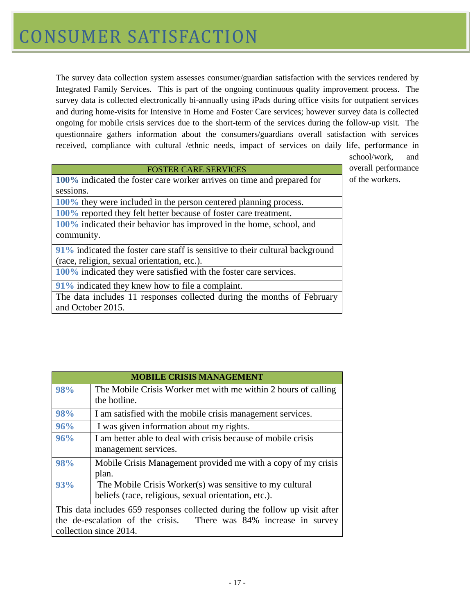The survey data collection system assesses consumer/guardian satisfaction with the services rendered by Integrated Family Services. This is part of the ongoing continuous quality improvement process. The survey data is collected electronically bi-annually using iPads during office visits for outpatient services and during home-visits for Intensive in Home and Foster Care services; however survey data is collected ongoing for mobile crisis services due to the short-term of the services during the follow-up visit. The questionnaire gathers information about the consumers/guardians overall satisfaction with services received, compliance with cultural /ethnic needs, impact of services on daily life, performance in

#### FOSTER CARE SERVICES

**100%** indicated the foster care worker arrives on time and prepared for sessions.

**100%** they were included in the person centered planning process.

**100%** reported they felt better because of foster care treatment.

**100%** indicated their behavior has improved in the home, school, and community.

**91%** indicated the foster care staff is sensitive to their cultural background (race, religion, sexual orientation, etc.).

**100%** indicated they were satisfied with the foster care services.

**91%** indicated they knew how to file a complaint.

The data includes 11 responses collected during the months of February and October 2015.

school/work, and overall performance of the workers.

|     | <b>MOBILE CRISIS MANAGEMENT</b>                                                                                  |
|-----|------------------------------------------------------------------------------------------------------------------|
| 98% | The Mobile Crisis Worker met with me within 2 hours of calling<br>the hotline.                                   |
| 98% | I am satisfied with the mobile crisis management services.                                                       |
| 96% | I was given information about my rights.                                                                         |
| 96% | I am better able to deal with crisis because of mobile crisis<br>management services.                            |
| 98% | Mobile Crisis Management provided me with a copy of my crisis<br>plan.                                           |
| 93% | The Mobile Crisis Worker(s) was sensitive to my cultural<br>beliefs (race, religious, sexual orientation, etc.). |
|     | This data includes 659 responses collected during the follow up visit after                                      |
|     | the de-escalation of the crisis. There was 84% increase in survey<br>collection since 2014.                      |